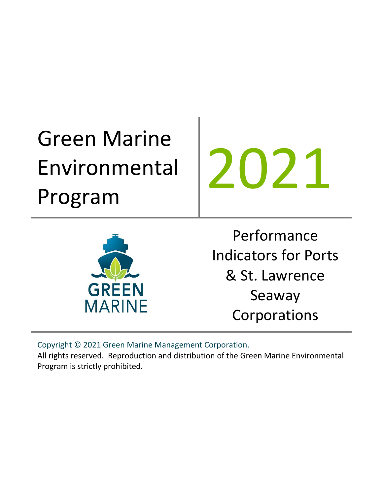# Green Marine Environmental Program

2021



Performance Indicators for Ports & St. Lawrence Seaway Corporations

Copyright © 2021 Green Marine Management Corporation.

All rights reserved. Reproduction and distribution of the Green Marine Environmental Program is strictly prohibited.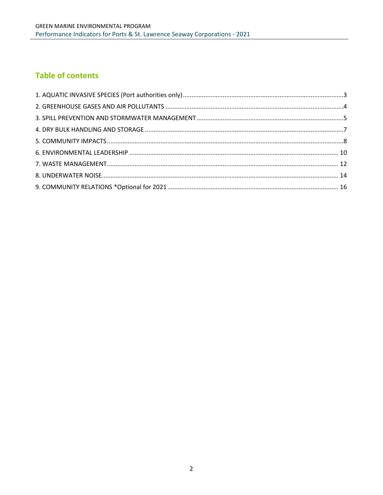# **Table of contents**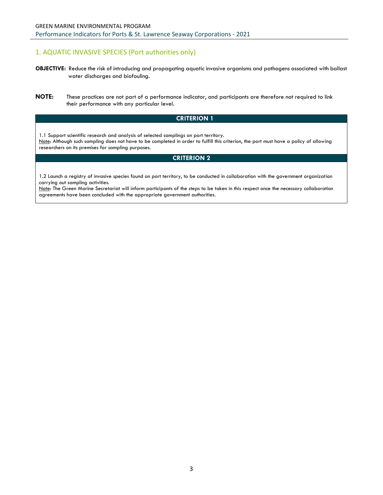## <span id="page-2-0"></span>1. AQUATIC INVASIVE SPECIES (Port authorities only)

- **OBJECTIVE:** Reduce the risk of introducing and propagating aquatic invasive organisms and pathogens associated with ballast water discharges and biofouling.
- **NOTE:** These practices are not part of a performance indicator, and participants are therefore not required to link their performance with any particular level.

## **CRITERION 1**

1.1 Support scientific research and analysis of selected samplings on port territory. Note: Although such sampling does not have to be completed in order to fulfill this criterion, the port must have a policy of allowing researchers on its premises for sampling purposes.

## **CRITERION 2**

1.2 Launch a registry of invasive species found on port territory, to be conducted in collaboration with the government organization carrying out sampling activities.

Note: The Green Marine Secretariat will inform participants of the steps to be taken in this respect once the necessary collaboration agreements have been concluded with the appropriate government authorities.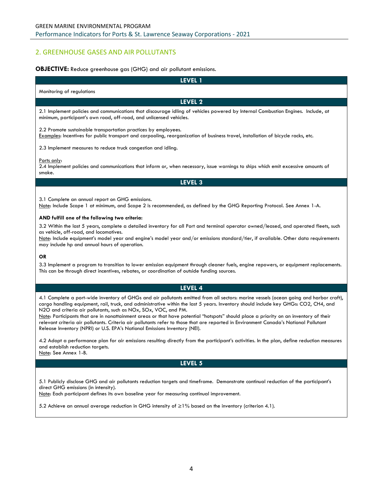## <span id="page-3-0"></span>2. GREENHOUSE GASES AND AIR POLLUTANTS

#### **OBJECTIVE:** Reduce greenhouse gas (GHG) and air pollutant emissions.

| LEVEL 1                                                                                                                                                                                                                                                                                                                                                                                                                  |
|--------------------------------------------------------------------------------------------------------------------------------------------------------------------------------------------------------------------------------------------------------------------------------------------------------------------------------------------------------------------------------------------------------------------------|
| Monitoring of regulations                                                                                                                                                                                                                                                                                                                                                                                                |
| LEVEL 2                                                                                                                                                                                                                                                                                                                                                                                                                  |
| 2.1 Implement policies and communications that discourage idling of vehicles powered by Internal Combustion Engines. Include, at<br>minimum, participant's own road, off-road, and unlicensed vehicles.                                                                                                                                                                                                                  |
| 2.2 Promote sustainable transportation practices by employees.<br>Examples: Incentives for public transport and carpooling, reorganization of business travel, installation of bicycle racks, etc.                                                                                                                                                                                                                       |
| 2.3 Implement measures to reduce truck congestion and idling.                                                                                                                                                                                                                                                                                                                                                            |
| Ports only:<br>2.4 Implement policies and communications that inform or, when necessary, issue warnings to ships which emit excessive amounts of<br>smoke.                                                                                                                                                                                                                                                               |
| LEVEL 3                                                                                                                                                                                                                                                                                                                                                                                                                  |
| 3.1 Complete an annual report on GHG emissions.<br>Note: Include Scope 1 at minimum, and Scope 2 is recommended, as defined by the GHG Reporting Protocol. See Annex 1-A.                                                                                                                                                                                                                                                |
| AND fulfill one of the following two criteria:<br>3.2 Within the last 5 years, complete a detailed inventory for all Port and terminal operator owned/leased, and operated fleets, such<br>as vehicle, off-road, and locomotives.<br>Note: Include equipment's model year and engine's model year and/or emissions standard/tier, if available. Other data requirements<br>may include hp and annual hours of operation. |
| <b>OR</b><br>3.3 Implement a program to transition to lower emission equipment through cleaner fuels, engine repowers, or equipment replacements.<br>This can be through direct incentives, rebates, or coordination of outside funding sources.                                                                                                                                                                         |
| LEVEL 4                                                                                                                                                                                                                                                                                                                                                                                                                  |
| 4.1 Complete a port-wide inventory of GHGs and air pollutants emitted from all sectors: marine vessels (ocean going and harbor craft),<br>cargo handling equipment, rail, truck, and administrative within the last 5 years. Inventory should include key GHGs: CO2, CH4, and                                                                                                                                            |

N2O and criteria air pollutants, such as NOx, SOx, VOC, and PM.

Note: Participants that are in nonattainment areas or that have potential "hotspots" should place a priority on an inventory of their relevant criteria air pollutants. Criteria air pollutants refer to those that are reported in Environment Canada's National Pollutant Release Inventory (NPRI) or U.S. EPA's National Emissions Inventory (NEI).

4.2 Adopt a performance plan for air emissions resulting directly from the participant's activities. In the plan, define reduction measures and establish reduction targets.

Note: See Annex 1-B.

#### **LEVEL 5**

5.1 Publicly disclose GHG and air pollutants reduction targets and timeframe. Demonstrate continual reduction of the participant's direct GHG emissions (in intensity).

Note: Each participant defines its own baseline year for measuring continual improvement.

5.2 Achieve an annual average reduction in GHG intensity of ≥1% based on the inventory (criterion 4.1).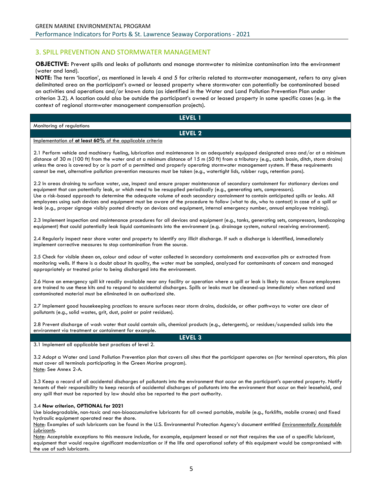## <span id="page-4-0"></span>3. SPILL PREVENTION AND STORMWATER MANAGEMENT

**OBJECTIVE:** Prevent spills and leaks of pollutants and manage stormwater to minimize contamination into the environment (water and land).

**NOTE:** The term 'location', as mentioned in levels 4 and 5 for criteria related to stormwater management, refers to any given delimitated area on the participant's owned or leased property where stormwater can potentially be contaminated based on activities and operations and/or known data (as identified in the Water and Land Pollution Prevention Plan under criterion 3.2). A location could also be outside the participant's owned or leased property in some specific cases (e.g. in the context of regional stormwater management compensation projects).

|                           | LEVEL 1 |
|---------------------------|---------|
| Monitoring of regulations |         |
|                           | LEVEL 2 |
| . .<br>$\sim$<br>.        |         |

#### Implementation of **at least 60%** of the applicable criteria

2.1 Perform vehicle and machinery fueling, lubrication and maintenance in an adequately equipped designated area and/or at a minimum distance of 30 m (100 ft) from the water and at a minimum distance of 15 m (50 ft) from a tributary (e.g., catch basin, ditch, storm drains) unless the area is covered by or is part of a permitted and properly operating stormwater management system. If these requirements cannot be met, alternative pollution prevention measures must be taken (e.g., watertight lids, rubber rugs, retention pans).

2.2 In areas draining to surface water, use, inspect and ensure proper maintenance of secondary containment for stationary devices and equipment that can potentially leak, or which need to be resupplied periodically (e.g., generating sets, compressors). Use a risk-based approach to determine the adequate volume of each secondary containment to contain anticipated spills or leaks. All employees using such devices and equipment must be aware of the procedure to follow (what to do, who to contact) in case of a spill or leak (e.g., proper signage visibly posted directly on devices and equipment, internal emergency number, annual employee training).

2.3 Implement inspection and maintenance procedures for all devices and equipment (e.g., tanks, generating sets, compressors, landscaping equipment) that could potentially leak liquid contaminants into the environment (e.g. drainage system, natural receiving environment).

2.4 Regularly inspect near shore water and property to identify any illicit discharge. If such a discharge is identified, immediately implement corrective measures to stop contamination from the source.

2.5 Check for visible sheen on, colour and odour of water collected in secondary containments and excavation pits or extracted from monitoring wells. If there is a doubt about its quality, the water must be sampled, analyzed for contaminants of concern and managed appropriately or treated prior to being discharged into the environment.

2.6 Have an emergency spill kit readily available near any facility or operation where a spill or leak is likely to occur. Ensure employees are trained to use these kits and to respond to accidental discharges. Spills or leaks must be cleaned-up immediately when noticed and contaminated material must be eliminated in an authorized site.

2.7 Implement good housekeeping practices to ensure surfaces near storm drains, dockside, or other pathways to water are clear of pollutants (e.g., solid wastes, grit, dust, paint or paint residues).

2.8 Prevent discharge of wash water that could contain oils, chemical products (e.g., detergents), or residues/suspended solids into the environment via treatment or containment for example.

**LEVEL 3**

3.1 Implement all applicable best practices of level 2.

3.2 Adopt a Water and Land Pollution Prevention plan that covers all sites that the participant operates on (for terminal operators, this plan must cover all terminals participating in the Green Marine program). Note: See Annex 2-A.

3.3 Keep a record of all accidental discharges of pollutants into the environment that occur on the participant's operated property. Notify tenants of their responsibility to keep records of accidental discharges of pollutants into the environment that occur on their leasehold, and any spill that must be reported by law should also be reported to the port authority.

#### 3.4 **New criterion, OPTIONAL for 2021**

Use biodegradable, non-toxic and non-bioaccumulative lubricants for all owned portable, mobile (e.g., forklifts, mobile cranes) and fixed hydraulic equipment operated near the shore.

Note: Examples of such lubricants can be found in the U.S. Environmental Protection Agency's document entitled *[Environmentally Acceptable](https://www3.epa.gov/npdes/pubs/vgp_environmentally_acceptable_lubricants.pdf)  [Lubricants](https://www3.epa.gov/npdes/pubs/vgp_environmentally_acceptable_lubricants.pdf)*.

Note: Acceptable exceptions to this measure include, for example, equipment leased or not that requires the use of a specific lubricant, equipment that would require significant modernization or if the life and operational safety of this equipment would be compromised with the use of such lubricants.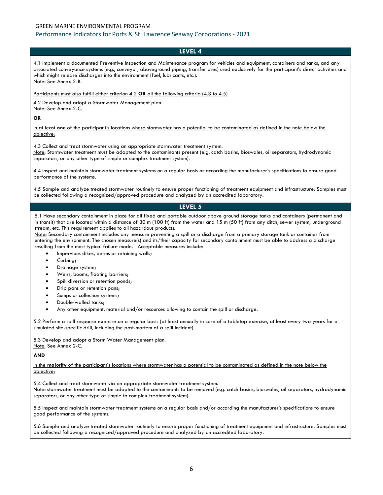## GREEN MARINE ENVIRONMENTAL PROGRAM Performance Indicators for Ports & St. Lawrence Seaway Corporations - 2021

## **LEVEL 4**

4.1 Implement a documented Preventive Inspection and Maintenance program for vehicles and equipment, containers and tanks, and any associated conveyance systems (e.g., conveyor, aboveground piping, transfer oses) used exclusively for the participant's direct activities and which might release discharges into the environment (fuel, lubricants, etc.). Note: See Annex 2-B.

#### Participants must also fulfill either criterion 4.2 **OR** all the following criteria (4.3 to 4.5)

4.2 Develop and adopt a Stormwater Management plan. Note: See Annex 2-C.

**OR**

In at least **one** of the participant's locations where stormwater has a potential to be contaminated as defined in the note below the objective:

4.3 Collect and treat stormwater using an appropriate stormwater treatment system. Note: Stormwater treatment must be adapted to the contaminants present (e.g. catch basins, bioswales, oil separators, hydrodynamic separators, or any other type of simple or complex treatment system).

4.4 Inspect and maintain stormwater treatment systems on a regular basis or according the manufacturer's specifications to ensure good performance of the systems.

4.5 Sample and analyze treated stormwater routinely to ensure proper functioning of treatment equipment and infrastructure. Samples must be collected following a recognized/approved procedure and analyzed by an accredited laboratory.

## **LEVEL 5**

5.1 Have secondary containment in place for all fixed and portable outdoor above ground storage tanks and containers (permanent and in transit) that are located within a distance of 30 m (100 ft) from the water and 15 m (50 ft) from any ditch, sewer system, underground stream, etc. This requirement applies to all hazardous products.

Note: Secondary containment includes any measure preventing a spill or a discharge from a primary storage tank or container from entering the environment. The chosen measure(s) and its/their capacity for secondary containment must be able to address a discharge resulting from the most typical failure mode. Acceptable measures include:

- Impervious dikes, berms or retaining walls;
- Curbing;
- Drainage system;
- Weirs, booms, floating barriers;
- Spill diversion or retention ponds;
- Drip pans or retention pans;
- Sumps or collection systems;
- Double-walled tanks;
- Any other equipment, material and/or resources allowing to contain the spill or discharge.

5.2 Perform a spill response exercise on a regular basis (at least annually in case of a tabletop exercise, at least every two years for a simulated site-specific drill, including the post-mortem of a spill incident).

5.3 Develop and adopt a Storm Water Management plan. Note: See Annex 2-C.

**AND**

In the **majority** of the participant's locations where stormwater has a potential to be contaminated as defined in the note below the objective:

5.4 Collect and treat stormwater via an appropriate stormwater treatment system. Note: stormwater treatment must be adapted to the contaminants to be removed (e.g. catch basins, bioswales, oil separators, hydrodynamic separators, or any other type of simple to complex treatment system).

5.5 Inspect and maintain stormwater treatment systems on a regular basis and/or according the manufacturer's specifications to ensure good performance of the systems.

5.6 Sample and analyze treated stormwater routinely to ensure proper functioning of treatment equipment and infrastructure. Samples must be collected following a recognized/approved procedure and analyzed by an accredited laboratory.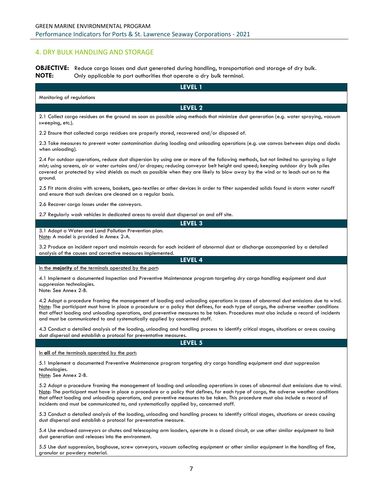## <span id="page-6-0"></span>4. DRY BULK HANDLING AND STORAGE

**OBJECTIVE:** Reduce cargo losses and dust generated during handling, transportation and storage of dry bulk. **NOTE:** Only applicable to port authorities that operate a dry bulk terminal.

**LEVEL 1** Monitoring of regulations **LEVEL 2** 2.1 Collect cargo residues on the ground as soon as possible using methods that minimize dust generation (e.g. water spraying, vacuum sweeping, etc.). 2.2 Ensure that collected cargo residues are properly stored, recovered and/or disposed of. 2.3 Take measures to prevent water contamination during loading and unloading operations (e.g. use canvas between ships and docks when unloading). 2.4 For outdoor operations, reduce dust dispersion by using one or more of the following methods, but not limited to: spraying a light mist; using screens, air or water curtains and/or drapes; reducing conveyor belt height and speed; keeping outdoor dry bulk piles covered or protected by wind shields as much as possible when they are likely to blow away by the wind or to leach out on to the ground. 2.5 Fit storm drains with screens, baskets, geo-textiles or other devices in order to filter suspended solids found in storm water runoff and ensure that such devices are cleaned on a regular basis. 2.6 Recover cargo losses under the conveyors. 2.7 Regularly wash vehicles in dedicated areas to avoid dust dispersal on and off site. **LEVEL 3**

3.1 Adopt a Water and Land Pollution Prevention plan. Note: A model is provided in Annex 2-A.

3.2 Produce an incident report and maintain records for each incident of abnormal dust or discharge accompanied by a detailed analysis of the causes and corrective measures implemented.

**LEVEL 4**

In the **majority** of the terminals operated by the port:

4.1 Implement a documented Inspection and Preventive Maintenance program targeting dry cargo handling equipment and dust suppression technologies.

Note: See Annex 2-B.

4.2 Adopt a procedure framing the management of loading and unloading operations in cases of abnormal dust emissions due to wind. Note: The participant must have in place a procedure or a policy that defines, for each type of cargo, the adverse weather conditions that affect loading and unloading operations, and preventive measures to be taken. Procedures must also include a record of incidents and must be communicated to and systematically applied by concerned staff.

4.3 Conduct a detailed analysis of the loading, unloading and handling process to identify critical stages, situations or areas causing dust dispersal and establish a protocol for preventative measures.

**LEVEL 5**

In **all** of the terminals operated by the port:

5.1 Implement a documented Preventive Maintenance program targeting dry cargo handling equipment and dust suppression technologies.

Note: See Annex 2-B.

5.2 Adopt a procedure framing the management of loading and unloading operations in cases of abnormal dust emissions due to wind. Note: The participant must have in place a procedure or a policy that defines, for each type of cargo, the adverse weather conditions that affect loading and unloading operations, and preventive measures to be taken. This procedure must also include a record of incidents and must be communicated to, and systematically applied by, concerned staff.

5.3 Conduct a detailed analysis of the loading, unloading and handling process to identify critical stages, situations or areas causing dust dispersal and establish a protocol for preventative measure.

5.4 Use enclosed conveyors or chutes and telescoping arm loaders, operate in a closed circuit, or use other similar equipment to limit dust generation and releases into the environment.

5.5 Use dust suppression, baghouse, screw conveyors, vacuum collecting equipment or other similar equipment in the handling of fine, granular or powdery material.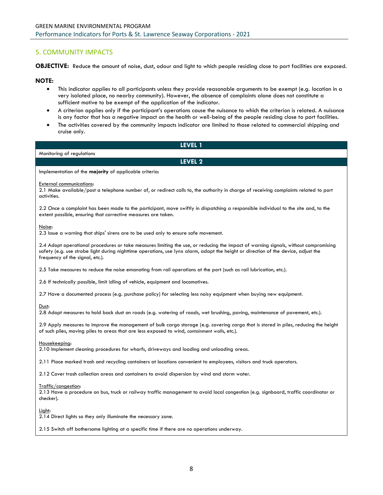## <span id="page-7-0"></span>5. COMMUNITY IMPACTS

**OBJECTIVE:** Reduce the amount of noise, dust, odour and light to which people residing close to port facilities are exposed.

#### **NOTE:**

- This indicator applies to all participants unless they provide reasonable arguments to be exempt (e.g. location in a very isolated place, no nearby community). However, the absence of complaints alone does not constitute a sufficient motive to be exempt of the application of the indicator.
- A criterion applies only if the participant's operations cause the nuisance to which the criterion is related. A nuisance is any factor that has a negative impact on the health or well-being of the people residing close to port facilities.
- The activities covered by the community impacts indicator are limited to those related to commercial shipping and cruise only.

| LEVEL 1                                                                                                                                                                                                                                                                                                      |
|--------------------------------------------------------------------------------------------------------------------------------------------------------------------------------------------------------------------------------------------------------------------------------------------------------------|
| Monitoring of regulations                                                                                                                                                                                                                                                                                    |
| LEVEL 2                                                                                                                                                                                                                                                                                                      |
| Implementation of the majority of applicable criteria:                                                                                                                                                                                                                                                       |
| <b>External communications:</b><br>2.1 Make available/post a telephone number of, or redirect calls to, the authority in charge of receiving complaints related to port<br>activities.                                                                                                                       |
| 2.2 Once a complaint has been made to the participant, move swiftly in dispatching a responsible individual to the site and, to the<br>extent possible, ensuring that corrective measures are taken.                                                                                                         |
| Noise:<br>2.3 Issue a warning that ships' sirens are to be used only to ensure safe movement.                                                                                                                                                                                                                |
| 2.4 Adopt operational procedures or take measures limiting the use, or reducing the impact of warning signals, without compromising<br>safety (e.g. use strobe light during nighttime operations, use lynx alarm, adapt the height or direction of the device, adjust the<br>frequency of the signal, etc.). |
| 2.5 Take measures to reduce the noise emanating from rail operations at the port (such as rail lubrication, etc.).                                                                                                                                                                                           |
| 2.6 If technically possible, limit idling of vehicle, equipment and locomotives.                                                                                                                                                                                                                             |
| 2.7 Have a documented process (e.g. purchase policy) for selecting less noisy equipment when buying new equipment.                                                                                                                                                                                           |
| Dust:<br>2.8 Adopt measures to hold back dust on roads (e.g. watering of roads, wet brushing, paving, maintenance of pavement, etc.).                                                                                                                                                                        |
| 2.9 Apply measures to improve the management of bulk cargo storage (e.g. covering cargo that is stored in piles, reducing the height<br>of such piles, moving piles to areas that are less exposed to wind, containment walls, etc.).                                                                        |
| Housekeeping:<br>2.10 Implement cleaning procedures for wharfs, driveways and loading and unloading areas.                                                                                                                                                                                                   |
| 2.11 Place marked trash and recycling containers at locations convenient to employees, visitors and truck operators.                                                                                                                                                                                         |
| 2.12 Cover trash collection areas and containers to avoid dispersion by wind and storm water.                                                                                                                                                                                                                |
| Traffic/congestion:<br>2.13 Have a procedure on bus, truck or railway traffic management to avoid local congestion (e.g. signboard, traffic coordinator or<br>checker).                                                                                                                                      |

Light:

2.14 Direct lights so they only illuminate the necessary zone.

2.15 Switch off bothersome lighting at a specific time if there are no operations underway.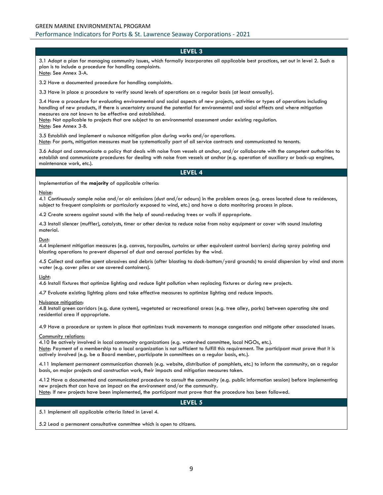3.1 Adopt a plan for managing community issues, which formally incorporates all applicable best practices, set out in level 2. Such a plan is to include a procedure for handling complaints. Note: See Annex 3-A.

3.2 Have a documented procedure for handling complaints.

3.3 Have in place a procedure to verify sound levels of operations on a regular basis (at least annually).

3.4 Have a procedure for evaluating environmental and social aspects of new projects, activities or types of operations including handling of new products, if there is uncertainty around the potential for environmental and social effects and where mitigation measures are not known to be effective and established.

Note: Not applicable to projects that are subject to an environmental assessment under existing regulation.

Note: See Annex 3-B.

3.5 Establish and implement a nuisance mitigation plan during works and/or operations.

Note: For ports, mitigation measures must be systematically part of all service contracts and communicated to tenants.

3.6 Adopt and communicate a policy that deals with noise from vessels at anchor, and/or collaborate with the competent authorities to establish and communicate procedures for dealing with noise from vessels at anchor (e.g. operation of auxiliary or back-up engines, maintenance work, etc.).

#### **LEVEL 4**

Implementation of the **majority** of applicable criteria:

#### Noise:

4.1 Continuously sample noise and/or air emissions (dust and/or odours) in the problem areas (e.g. areas located close to residences, subject to frequent complaints or particularly exposed to wind, etc.) and have a data monitoring process in place.

4.2 Create screens against sound with the help of sound-reducing trees or walls if appropriate.

4.3 Install silencer (muffler), catalysts, timer or other device to reduce noise from noisy equipment or cover with sound insulating material.

#### Dust:

4.4 Implement mitigation measures (e.g. canvas, tarpaulins, curtains or other equivalent control barriers) during spray painting and blasting operations to prevent dispersal of dust and aerosol particles by the wind.

4.5 Collect and confine spent abrasives and debris (after blasting to dock-bottom/yard grounds) to avoid dispersion by wind and storm water (e.g. cover piles or use covered containers).

#### Light:

4.6 Install fixtures that optimize lighting and reduce light pollution when replacing fixtures or during new projects.

4.7 Evaluate existing lighting plans and take effective measures to optimize lighting and reduce impacts.

#### Nuisance mitigation:

4.8 Install green corridors (e.g. dune system), vegetated or recreational areas (e.g. tree alley, parks) between operating site and residential area if appropriate.

4.9 Have a procedure or system in place that optimizes truck movements to manage congestion and mitigate other associated issues.

#### Community relations:

4.10 Be actively involved in local community organizations (e.g. watershed committee, local NGOs, etc.). Note: Payment of a membership to a local organization is not sufficient to fulfill this requirement. The participant must prove that it is actively involved (e.g. be a Board member, participate in committees on a regular basis, etc.).

4.11 Implement permanent communication channels (e.g. website, distribution of pamphlets, etc.) to inform the community, on a regular basis, on major projects and construction work, their impacts and mitigation measures taken.

4.12 Have a documented and communicated procedure to consult the community (e.g. public information session) before implementing new projects that can have an impact on the environment and/or the community.

Note: If new projects have been implemented, the participant must prove that the procedure has been followed.

#### **LEVEL 5**

5.1 Implement all applicable criteria listed in Level 4.

5.2 Lead a permanent consultative committee which is open to citizens.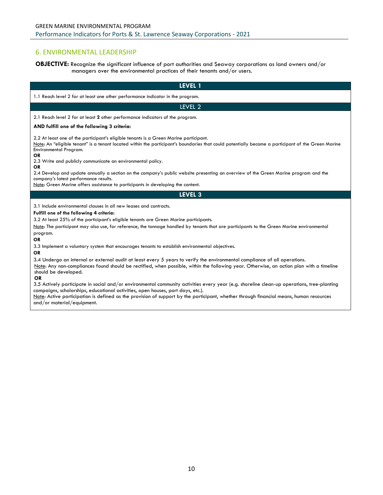## <span id="page-9-0"></span>6. ENVIRONMENTAL LEADERSHIP

## **OBJECTIVE:** Recognize the significant influence of port authorities and Seaway corporations as land owners and/or managers over the environmental practices of their tenants and/or users.

| <b>LEVEL 1</b>                                                                                                                                                                                                                                                                                                                                                                                                                                                                                                                                                                                                                                                                                                                                                                                               |
|--------------------------------------------------------------------------------------------------------------------------------------------------------------------------------------------------------------------------------------------------------------------------------------------------------------------------------------------------------------------------------------------------------------------------------------------------------------------------------------------------------------------------------------------------------------------------------------------------------------------------------------------------------------------------------------------------------------------------------------------------------------------------------------------------------------|
| 1.1 Reach level 2 for at least one other performance indicator in the program.                                                                                                                                                                                                                                                                                                                                                                                                                                                                                                                                                                                                                                                                                                                               |
| LEVEL 2                                                                                                                                                                                                                                                                                                                                                                                                                                                                                                                                                                                                                                                                                                                                                                                                      |
| 2.1 Reach level 2 for at least 2 other performance indicators of the program.                                                                                                                                                                                                                                                                                                                                                                                                                                                                                                                                                                                                                                                                                                                                |
| AND fulfill one of the following 3 criteria:                                                                                                                                                                                                                                                                                                                                                                                                                                                                                                                                                                                                                                                                                                                                                                 |
| 2.2 At least one of the participant's eligible tenants is a Green Marine participant.<br>Note: An "eligible tenant" is a tenant located within the participant's boundaries that could potentially become a participant of the Green Marine<br>Environmental Program.<br><b>OR</b><br>2.3 Write and publicly communicate an environmental policy.<br><b>OR</b><br>2.4 Develop and update annually a section on the company's public website presenting an overview of the Green Marine program and the                                                                                                                                                                                                                                                                                                       |
| company's latest performance results.<br>Note: Green Marine offers assistance to participants in developing the content.                                                                                                                                                                                                                                                                                                                                                                                                                                                                                                                                                                                                                                                                                     |
| LEVEL <sub>3</sub>                                                                                                                                                                                                                                                                                                                                                                                                                                                                                                                                                                                                                                                                                                                                                                                           |
| 3.1 Include environmental clauses in all new leases and contracts.<br>Fulfill one of the following 4 criteria:<br>3.2 At least 25% of the participant's eligible tenants are Green Marine participants.<br>Note: The participant may also use, for reference, the tonnage handled by tenants that are participants to the Green Marine environmental<br>program.<br><b>OR</b><br>3.3 Implement a voluntary system that encourages tenants to establish environmental objectives.<br><b>OR</b><br>3.4 Undergo an internal or external audit at least every 5 years to verify the environmental compliance of all operations.<br>Note: Any non-compliances found should be rectified, when possible, within the following year. Otherwise, an action plan with a timeline<br>should be developed.<br><b>OR</b> |
| 3.5 Actively participate in social and/or environmental community activities every year (e.g. shoreline clean-up operations, tree-planting<br>campaigns, scholarships, educational activities, open houses, port days, etc.).<br>Note: Active participation is defined as the provision of support by the participant, whether through financial means, human resources<br>and/or material/equipment.                                                                                                                                                                                                                                                                                                                                                                                                        |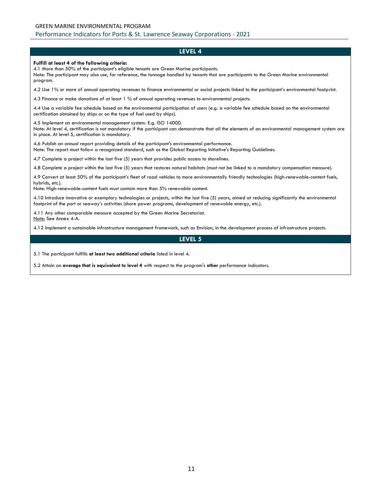#### **Fulfill at least 4 of the following criteria:**

4.1 More than 50% of the participant's eligible tenants are Green Marine participants.

Note: The participant may also use, for reference, the tonnage handled by tenants that are participants to the Green Marine environmental program.

4.2 Use 1% or more of annual operating revenues to finance environmental or social projects linked to the participant's environmental footprint.

4.3 Finance or make donations of at least 1 % of annual operating revenues to environmental projects.

4.4 Use a variable fee schedule based on the environmental participation of users (e.g. a variable fee schedule based on the environmental certification obtained by ships or on the type of fuel used by ships).

4.5 Implement an environmental management system. E.g. ISO 14000.

Note: At level 4, certification is not mandatory if the participant can demonstrate that all the elements of an environmental management system are in place. At level 5, certification is mandatory.

4.6 Publish an annual report providing details of the participant's environmental performance. Note: The report must follow a recognized standard, such as the Global Reporting Initiative's Reporting Guidelines.

4.7 Complete a project within the last five (5) years that provides public access to shorelines.

4.8 Complete a project within the last five (5) years that restores natural habitats (must not be linked to a mandatory compensation measure).

4.9 Convert at least 50% of the participant's fleet of road vehicles to more environmentally friendly technologies (high-renewable-content fuels, hybrids, etc.).

Note: High-renewable-content fuels must contain more than 5% renewable content.

4.10 Introduce innovative or exemplary technologies or projects, within the last five (5) years, aimed at reducing significantly the environmental footprint of the port or seaway's activities (shore power programs, development of renewable energy, etc.).

4.11 Any other comparable measure accepted by the Green Marine Secretariat. Note: See Annex 4-A.

4.12 Implement a sustainable infrastructure management framework, such as Envision, in the development process of infrastructure projects.

#### **LEVEL 5**

5.1 The participant fulfills **at least two additional criteria** listed in level 4.

5.2 Attain an **average that is equivalent to level 4** with respect to the program's **other** performance indicators.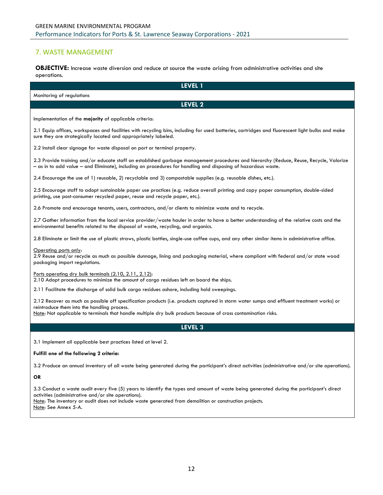## <span id="page-11-0"></span>7. WASTE MANAGEMENT

**OBJECTIVE:** Increase waste diversion and reduce at source the waste arising from administrative activities and site operations.

| LEVEL 1                                                                                                                                                                                                                                                                                                                            |
|------------------------------------------------------------------------------------------------------------------------------------------------------------------------------------------------------------------------------------------------------------------------------------------------------------------------------------|
| Monitoring of regulations                                                                                                                                                                                                                                                                                                          |
| LEVEL 2                                                                                                                                                                                                                                                                                                                            |
| Implementation of the majority of applicable criteria:                                                                                                                                                                                                                                                                             |
| 2.1 Equip offices, workspaces and facilities with recycling bins, including for used batteries, cartridges and fluorescent light bulbs and make<br>sure they are strategically located and appropriately labeled.                                                                                                                  |
| 2.2 Install clear signage for waste disposal on port or terminal property.                                                                                                                                                                                                                                                         |
| 2.3 Provide training and/or educate staff on established garbage management procedures and hierarchy (Reduce, Reuse, Recycle, Valorize<br>- as in to add value - and Eliminate), including on procedures for handling and disposing of hazardous waste.                                                                            |
| 2.4 Encourage the use of 1) reusable, 2) recyclable and 3) compostable supplies (e.g. reusable dishes, etc.).                                                                                                                                                                                                                      |
| 2.5 Encourage staff to adopt sustainable paper use practices (e.g. reduce overall printing and copy paper consumption, double-sided<br>printing, use post-consumer recycled paper, reuse and recycle paper, etc.).                                                                                                                 |
| 2.6 Promote and encourage tenants, users, contractors, and/or clients to minimize waste and to recycle.                                                                                                                                                                                                                            |
| 2.7 Gather information from the local service provider/waste hauler in order to have a better understanding of the relative costs and the<br>environmental benefits related to the disposal of waste, recycling, and organics.                                                                                                     |
| 2.8 Eliminate or limit the use of plastic straws, plastic bottles, single-use coffee cups, and any other similar items in administrative office.                                                                                                                                                                                   |
| Operating ports only:<br>2.9 Reuse and/or recycle as much as possible dunnage, lining and packaging material, where compliant with federal and/or state wood<br>packaging import regulations.                                                                                                                                      |
| Ports operating dry bulk terminals (2.10, 2.11, 2.12):<br>2.10 Adopt procedures to minimize the amount of cargo residues left on board the ships.                                                                                                                                                                                  |
| 2.11 Facilitate the discharge of solid bulk cargo residues ashore, including hold sweepings.                                                                                                                                                                                                                                       |
| 2.12 Recover as much as possible off specification products (i.e. products captured in storm water sumps and effluent treatment works) or<br>reintroduce them into the handling process.<br>Note: Not applicable to terminals that handle multiple dry bulk products because of cross contamination risks.                         |
| LEVEL 3                                                                                                                                                                                                                                                                                                                            |
|                                                                                                                                                                                                                                                                                                                                    |
| 3.1 Implement all applicable best practices listed at level 2.                                                                                                                                                                                                                                                                     |
| Fulfill one of the following 2 criteria:                                                                                                                                                                                                                                                                                           |
| 3.2 Produce an annual inventory of all waste being generated during the participant's direct activities (administrative and/or site operations).                                                                                                                                                                                   |
| OR                                                                                                                                                                                                                                                                                                                                 |
| 3.3 Conduct a waste audit every five (5) years to identify the types and amount of waste being generated during the participant's direct<br>activities (administrative and/or site operations).<br>Note: The inventory or audit does not include waste generated from demolition or construction projects.<br>Note: See Annex 5-A. |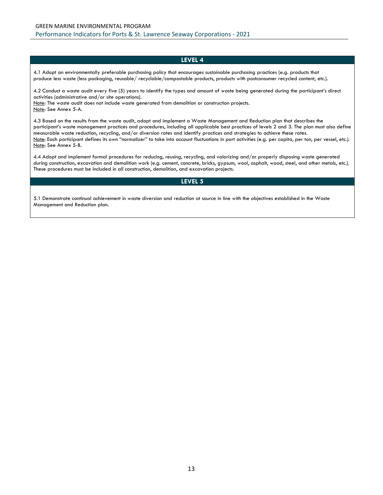4.1 Adopt an environmentally preferable purchasing policy that encourages sustainable purchasing practices (e.g. products that produce less waste (less packaging, reusable/ recyclable/compostable products, products with postconsumer recycled content, etc.).

4.2 Conduct a waste audit every five (5) years to identify the types and amount of waste being generated during the participant's direct activities (administrative and/or site operations).

Note: The waste audit does not include waste generated from demolition or construction projects. Note: See Annex 5-A.

4.3 Based on the results from the waste audit, adopt and implement a Waste Management and Reduction plan that describes the participant's waste management practices and procedures, including all applicable best practices of levels 2 and 3. The plan must also define measurable waste reduction, recycling, and/or diversion rates and identify practices and strategies to achieve these rates. Note: Each participant defines its own "normalizer" to take into account fluctuations in port activities (e.g. per capita, per ton, per vessel, etc.). Note: See Annex 5-B.

4.4 Adopt and implement formal procedures for reducing, reusing, recycling, and valorizing and/or properly disposing waste generated during construction, excavation and demolition work (e.g. cement, concrete, bricks, gypsum, wool, asphalt, wood, steel, and other metals, etc.). These procedures must be included in all construction, demolition, and excavation projects.

#### **LEVEL 5**

5.1 Demonstrate continual achievement in waste diversion and reduction at source in line with the objectives established in the Waste Management and Reduction plan.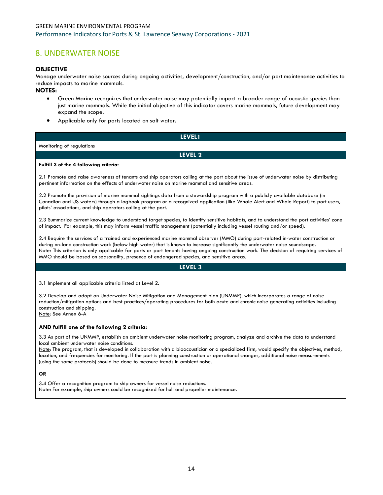## <span id="page-13-0"></span>8. UNDERWATER NOISE

## **OBJECTIVE**

Manage underwater noise sources during ongoing activities, development/construction, and/or port maintenance activities to reduce impacts to marine mammals.

## **NOTES:**

- Green Marine recognizes that underwater noise may potentially impact a broader range of acoustic species than just marine mammals. While the initial objective of this indicator covers marine mammals, future development may expand the scope.
- Applicable only for ports located on salt water.

| <b>LEVEL1</b>                                                                                                                                                                                                                                                                                                                    |
|----------------------------------------------------------------------------------------------------------------------------------------------------------------------------------------------------------------------------------------------------------------------------------------------------------------------------------|
| Monitoring of regulations                                                                                                                                                                                                                                                                                                        |
| LEVEL 2                                                                                                                                                                                                                                                                                                                          |
| Fulfill 3 of the 4 following criteria:                                                                                                                                                                                                                                                                                           |
| 2.1 Promote and raise awareness of tenants and ship operators calling at the port about the issue of underwater noise by distributing<br>pertinent information on the effects of underwater noise on marine mammal and sensitive areas.                                                                                          |
| 2.2 Promote the provision of marine mammal sightings data from a stewardship program with a publicly available database (in<br>Canadian and US waters) through a logbook program or a recognized application (like Whale Alert and Whale Report) to port users,<br>pilots' associations, and ship operators calling at the port. |
| 2.3 Summarize current knowledge to understand target species, to identify sensitive habitats, and to understand the port activities' zone<br>of impact. For example, this may inform vessel traffic management (potentially including vessel routing and/or speed).                                                              |

2.4 Require the services of a trained and experienced marine mammal observer (MMO) during port-related in-water construction or during on-land construction work (below high water) that is known to increase significantly the underwater noise soundscape. Note: This criterion is only applicable for ports or port tenants having ongoing construction work. The decision of requiring services of MMO should be based on seasonality, presence of endangered species, and sensitive areas.

#### **LEVEL 3**

3.1 Implement all applicable criteria listed at Level 2.

3.2 Develop and adopt an Underwater Noise Mitigation and Management plan (UNMMP), which incorporates a range of noise reduction/mitigation options and best practices/operating procedures for both acute and chronic noise generating activities including construction and shipping. Note: See Annex 6-A

## **AND fulfill one of the following 2 criteria:**

3.3 As part of the UNMMP, establish an ambient underwater noise monitoring program, analyze and archive the data to understand local ambient underwater noise conditions.

Note: The program, that is developed in collaboration with a bioacoustician or a specialized firm, would specify the objectives, method, location, and frequencies for monitoring. If the port is planning construction or operational changes, additional noise measurements (using the same protocols) should be done to measure trends in ambient noise.

#### **OR**

3.4 Offer a recognition program to ship owners for vessel noise reductions. Note: For example, ship owners could be recognized for hull and propeller maintenance.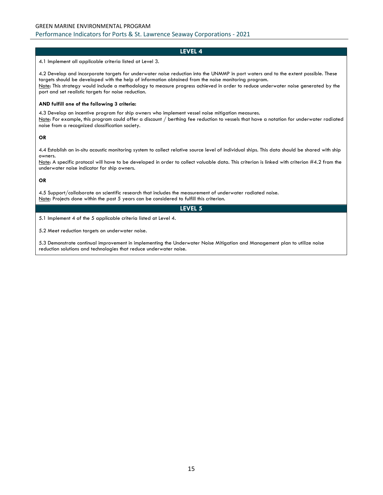#### GREEN MARINE ENVIRONMENTAL PROGRAM

Performance Indicators for Ports & St. Lawrence Seaway Corporations - 2021

## **LEVEL 4**

4.1 Implement all applicable criteria listed at Level 3.

4.2 Develop and incorporate targets for underwater noise reduction into the UNMMP in port waters and to the extent possible. These targets should be developed with the help of information obtained from the noise monitoring program. Note: This strategy would include a methodology to measure progress achieved in order to reduce underwater noise generated by the port and set realistic targets for noise reduction.

#### **AND fulfill one of the following 3 criteria:**

4.3 Develop an incentive program for ship owners who implement vessel noise mitigation measures. Note: For example, this program could offer a discount / berthing fee reduction to vessels that have a notation for underwater radiated noise from a recognized classification society.

#### **OR**

4.4 Establish an in-situ acoustic monitoring system to collect relative source level of individual ships. This data should be shared with ship owners.

Note: A specific protocol will have to be developed in order to collect valuable data. This criterion is linked with criterion #4.2 from the underwater noise indicator for ship owners.

#### **OR**

4.5 Support/collaborate on scientific research that includes the measurement of underwater radiated noise. Note: Projects done within the past 5 years can be considered to fulfill this criterion.

## **LEVEL 5**

5.1 Implement 4 of the 5 applicable criteria listed at Level 4.

5.2 Meet reduction targets on underwater noise.

5.3 Demonstrate continual improvement in implementing the Underwater Noise Mitigation and Management plan to utilize noise reduction solutions and technologies that reduce underwater noise.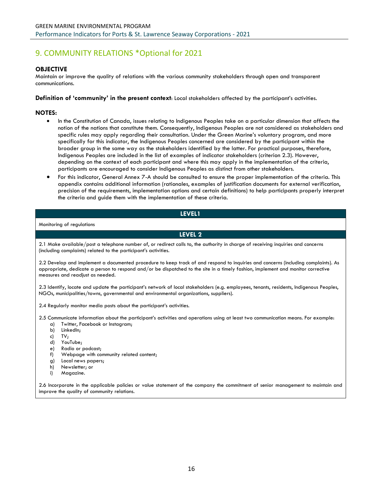# <span id="page-15-0"></span>9. COMMUNITY RELATIONS \*Optional for 2021

## **OBJECTIVE**

Maintain or improve the quality of relations with the various community stakeholders through open and transparent communications.

**Definition of 'community' in the present context**: Local stakeholders affected by the participant's activities.

## **NOTES:**

- In the Constitution of Canada, issues relating to Indigenous Peoples take on a particular dimension that affects the notion of the nations that constitute them. Consequently, Indigenous Peoples are not considered as stakeholders and specific rules may apply regarding their consultation. Under the Green Marine's voluntary program, and more specifically for this indicator, the Indigenous Peoples concerned are considered by the participant within the broader group in the same way as the stakeholders identified by the latter. For practical purposes, therefore, Indigenous Peoples are included in the list of examples of indicator stakeholders (criterion 2.3). However, depending on the context of each participant and where this may apply in the implementation of the criteria, participants are encouraged to consider Indigenous Peoples as distinct from other stakeholders.
- For this indicator, General Annex 7-A should be consulted to ensure the proper implementation of the criteria. This appendix contains additional information (rationales, examples of justification documents for external verification, precision of the requirements, implementation options and certain definitions) to help participants properly interpret the criteria and guide them with the implementation of these criteria.

## **LEVEL1**

Monitoring of regulations

**LEVEL 2**

2.1 Make available/post a telephone number of, or redirect calls to, the authority in charge of receiving inquiries and concerns (including complaints) related to the participant's activities.

2.2 Develop and implement a documented procedure to keep track of and respond to inquiries and concerns (including complaints). As appropriate, dedicate a person to respond and/or be dispatched to the site in a timely fashion, implement and monitor corrective measures and readjust as needed.

2.3 Identify, locate and update the participant's network of local stakeholders (e.g. employees, tenants, residents, Indigenous Peoples, NGOs, municipalities/towns, governmental and environmental organizations, suppliers).

2.4 Regularly monitor media posts about the participant's activities.

2.5 Communicate information about the participant's activities and operations using at least two communication means. For example:

- a) Twitter, Facebook or Instagram;
- b) LinkedIn;
- c) TV;
- d) YouTube;
- e) Radio or podcast;
- f) Webpage with community related content;
- g) Local news papers;
- h) Newsletter; or
- i) Magazine.

2.6 Incorporate in the applicable policies or value statement of the company the commitment of senior management to maintain and improve the quality of community relations.